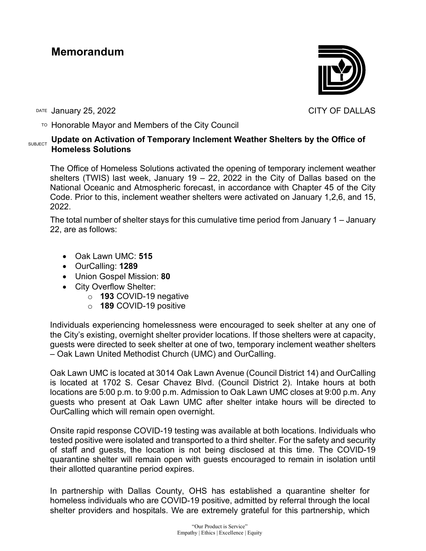## **Memorandum**

DATE January 25, 2022 **CITY OF DALLAS** 

 $\overline{P}$  Honorable Mayor and Members of the City Council

## **SUBJECT** Update on Activation of Temporary Inclement Weather Shelters by the Office of **Homeless Solutions**

The Office of Homeless Solutions activated the opening of temporary inclement weather shelters (TWIS) last week, January 19 – 22, 2022 in the City of Dallas based on the National Oceanic and Atmospheric forecast, in accordance with Chapter 45 of the City Code. Prior to this, inclement weather shelters were activated on January 1,2,6, and 15, 2022.

The total number of shelter stays for this cumulative time period from January 1 – January 22, are as follows:

- Oak Lawn UMC: **515**
- OurCalling: **1289**
- Union Gospel Mission: **80**
- City Overflow Shelter:
	- o **193** COVID-19 negative
	- o **189** COVID-19 positive

Individuals experiencing homelessness were encouraged to seek shelter at any one of the City's existing, overnight shelter provider locations. If those shelters were at capacity, guests were directed to seek shelter at one of two, temporary inclement weather shelters – Oak Lawn United Methodist Church (UMC) and OurCalling.

Oak Lawn UMC is located at 3014 Oak Lawn Avenue (Council District 14) and OurCalling is located at 1702 S. Cesar Chavez Blvd. (Council District 2). Intake hours at both locations are 5:00 p.m. to 9:00 p.m. Admission to Oak Lawn UMC closes at 9:00 p.m. Any guests who present at Oak Lawn UMC after shelter intake hours will be directed to OurCalling which will remain open overnight.

Onsite rapid response COVID-19 testing was available at both locations. Individuals who tested positive were isolated and transported to a third shelter. For the safety and security of staff and guests, the location is not being disclosed at this time. The COVID-19 quarantine shelter will remain open with guests encouraged to remain in isolation until their allotted quarantine period expires.

In partnership with Dallas County, OHS has established a quarantine shelter for homeless individuals who are COVID-19 positive, admitted by referral through the local shelter providers and hospitals. We are extremely grateful for this partnership, which